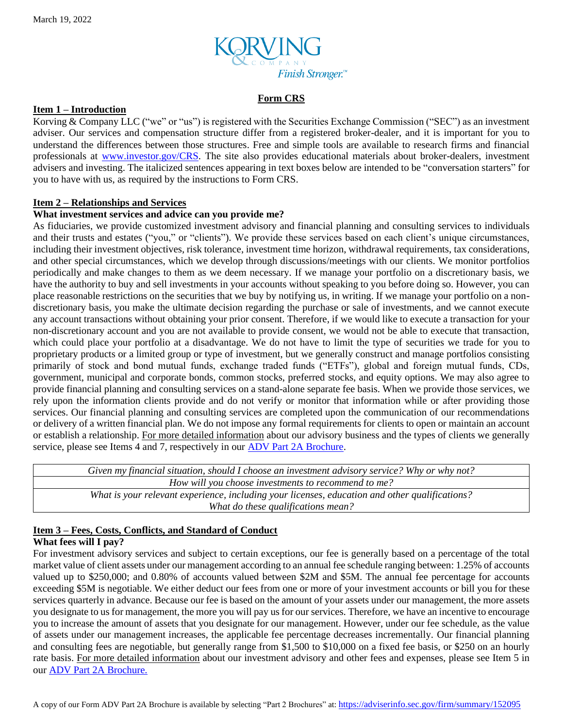

### **Form CRS**

### **Item 1 – Introduction**

Korving & Company LLC ("we" or "us") is registered with the Securities Exchange Commission ("SEC") as an investment adviser. Our services and compensation structure differ from a registered broker-dealer, and it is important for you to understand the differences between those structures. Free and simple tools are available to research firms and financial professionals at [www.investor.gov/CRS.](http://www.investor.gov/CRS) The site also provides educational materials about broker-dealers, investment advisers and investing. The italicized sentences appearing in text boxes below are intended to be "conversation starters" for you to have with us, as required by the instructions to Form CRS.

### **Item 2 – Relationships and Services**

### **What investment services and advice can you provide me?**

As fiduciaries, we provide customized investment advisory and financial planning and consulting services to individuals and their trusts and estates ("you," or "clients"). We provide these services based on each client's unique circumstances, including their investment objectives, risk tolerance, investment time horizon, withdrawal requirements, tax considerations, and other special circumstances, which we develop through discussions/meetings with our clients. We monitor portfolios periodically and make changes to them as we deem necessary. If we manage your portfolio on a discretionary basis, we have the authority to buy and sell investments in your accounts without speaking to you before doing so. However, you can place reasonable restrictions on the securities that we buy by notifying us, in writing. If we manage your portfolio on a nondiscretionary basis, you make the ultimate decision regarding the purchase or sale of investments, and we cannot execute any account transactions without obtaining your prior consent. Therefore, if we would like to execute a transaction for your non-discretionary account and you are not available to provide consent, we would not be able to execute that transaction, which could place your portfolio at a disadvantage. We do not have to limit the type of securities we trade for you to proprietary products or a limited group or type of investment, but we generally construct and manage portfolios consisting primarily of stock and bond mutual funds, exchange traded funds ("ETFs"), global and foreign mutual funds, CDs, government, municipal and corporate bonds, common stocks, preferred stocks, and equity options. We may also agree to provide financial planning and consulting services on a stand-alone separate fee basis. When we provide those services, we rely upon the information clients provide and do not verify or monitor that information while or after providing those services. Our financial planning and consulting services are completed upon the communication of our recommendations or delivery of a written financial plan. We do not impose any formal requirements for clients to open or maintain an account or establish a relationship. For more detailed information about our advisory business and the types of clients we generally service, please see Items 4 and 7, respectively in our **ADV Part 2A Brochure**.

*Given my financial situation, should I choose an investment advisory service? Why or why not? How will you choose investments to recommend to me? What is your relevant experience, including your licenses, education and other qualifications? What do these qualifications mean?*

# **Item 3 – Fees, Costs, Conflicts, and Standard of Conduct**

# **What fees will I pay?**

For investment advisory services and subject to certain exceptions, our fee is generally based on a percentage of the total market value of client assets under our management according to an annual fee schedule ranging between: 1.25% of accounts valued up to \$250,000; and 0.80% of accounts valued between \$2M and \$5M. The annual fee percentage for accounts exceeding \$5M is negotiable. We either deduct our fees from one or more of your investment accounts or bill you for these services quarterly in advance. Because our fee is based on the amount of your assets under our management, the more assets you designate to us for management, the more you will pay us for our services. Therefore, we have an incentive to encourage you to increase the amount of assets that you designate for our management. However, under our fee schedule, as the value of assets under our management increases, the applicable fee percentage decreases incrementally. Our financial planning and consulting fees are negotiable, but generally range from \$1,500 to \$10,000 on a fixed fee basis, or \$250 on an hourly rate basis. For more detailed information about our investment advisory and other fees and expenses, please see Item 5 in our [ADV Part 2A Brochure.](https://adviserinfo.sec.gov/firm/summary/152095)